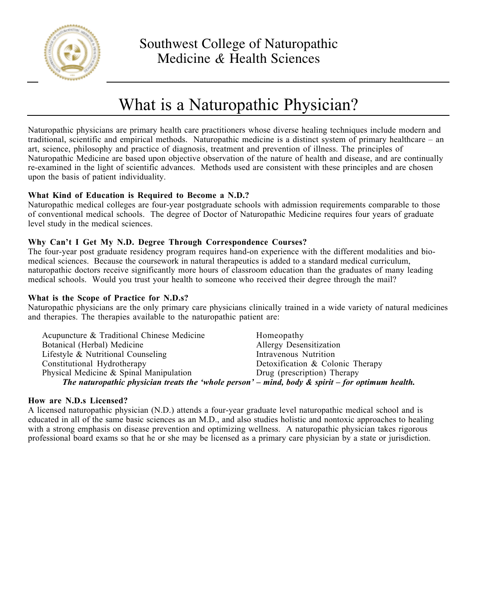

# What is a Naturopathic Physician?

Naturopathic physicians are primary health care practitioners whose diverse healing techniques include modern and traditional, scientific and empirical methods. Naturopathic medicine is a distinct system of primary healthcare – an art, science, philosophy and practice of diagnosis, treatment and prevention of illness. The principles of Naturopathic Medicine are based upon objective observation of the nature of health and disease, and are continually re-examined in the light of scientific advances. Methods used are consistent with these principles and are chosen upon the basis of patient individuality.

## **What Kind of Education is Required to Become a N.D.?**

Naturopathic medical colleges are four-year postgraduate schools with admission requirements comparable to those of conventional medical schools. The degree of Doctor of Naturopathic Medicine requires four years of graduate level study in the medical sciences.

## **Why Can't I Get My N.D. Degree Through Correspondence Courses?**

The four-year post graduate residency program requires hand-on experience with the different modalities and biomedical sciences. Because the coursework in natural therapeutics is added to a standard medical curriculum, naturopathic doctors receive significantly more hours of classroom education than the graduates of many leading medical schools. Would you trust your health to someone who received their degree through the mail?

#### **What is the Scope of Practice for N.D.s?**

Naturopathic physicians are the only primary care physicians clinically trained in a wide variety of natural medicines and therapies. The therapies available to the naturopathic patient are:

| Acupuncture & Traditional Chinese Medicine                                                          | Homeopathy                       |
|-----------------------------------------------------------------------------------------------------|----------------------------------|
| Botanical (Herbal) Medicine                                                                         | Allergy Desensitization          |
| Lifestyle & Nutritional Counseling                                                                  | Intravenous Nutrition            |
| Constitutional Hydrotherapy                                                                         | Detoxification & Colonic Therapy |
| Physical Medicine $\&$ Spinal Manipulation                                                          | Drug (prescription) Therapy      |
| The naturopathic physician treats the 'whole person' – mind, body $\&$ spirit – for optimum health. |                                  |

#### **How are N.D.s Licensed?**

A licensed naturopathic physician (N.D.) attends a four-year graduate level naturopathic medical school and is educated in all of the same basic sciences as an M.D., and also studies holistic and nontoxic approaches to healing with a strong emphasis on disease prevention and optimizing wellness. A naturopathic physician takes rigorous professional board exams so that he or she may be licensed as a primary care physician by a state or jurisdiction.